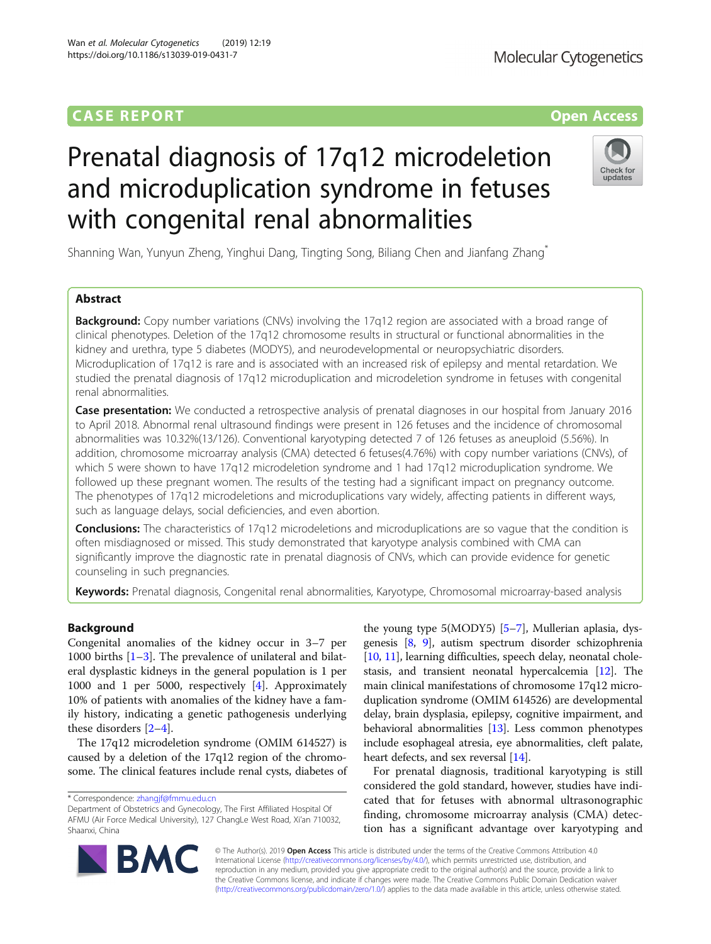# **CASE REPORT CASE REPORT CASE REPORT**

# Prenatal diagnosis of 17q12 microdeletion and microduplication syndrome in fetuses with congenital renal abnormalities

Shanning Wan, Yunyun Zheng, Yinghui Dang, Tingting Song, Biliang Chen and Jianfang Zhang\*

# Abstract

**Background:** Copy number variations (CNVs) involving the 17q12 region are associated with a broad range of clinical phenotypes. Deletion of the 17q12 chromosome results in structural or functional abnormalities in the kidney and urethra, type 5 diabetes (MODY5), and neurodevelopmental or neuropsychiatric disorders. Microduplication of 17q12 is rare and is associated with an increased risk of epilepsy and mental retardation. We studied the prenatal diagnosis of 17q12 microduplication and microdeletion syndrome in fetuses with congenital renal abnormalities.

Case presentation: We conducted a retrospective analysis of prenatal diagnoses in our hospital from January 2016 to April 2018. Abnormal renal ultrasound findings were present in 126 fetuses and the incidence of chromosomal abnormalities was 10.32%(13/126). Conventional karyotyping detected 7 of 126 fetuses as aneuploid (5.56%). In addition, chromosome microarray analysis (CMA) detected 6 fetuses(4.76%) with copy number variations (CNVs), of which 5 were shown to have 17q12 microdeletion syndrome and 1 had 17q12 microduplication syndrome. We followed up these pregnant women. The results of the testing had a significant impact on pregnancy outcome. The phenotypes of 17q12 microdeletions and microduplications vary widely, affecting patients in different ways, such as language delays, social deficiencies, and even abortion.

**Conclusions:** The characteristics of 17q12 microdeletions and microduplications are so vague that the condition is often misdiagnosed or missed. This study demonstrated that karyotype analysis combined with CMA can significantly improve the diagnostic rate in prenatal diagnosis of CNVs, which can provide evidence for genetic counseling in such pregnancies.

Keywords: Prenatal diagnosis, Congenital renal abnormalities, Karyotype, Chromosomal microarray-based analysis

# Background

Congenital anomalies of the kidney occur in 3–7 per 1000 births  $[1-3]$  $[1-3]$  $[1-3]$ . The prevalence of unilateral and bilateral dysplastic kidneys in the general population is 1 per 1000 and 1 per 5000, respectively [\[4](#page-3-0)]. Approximately 10% of patients with anomalies of the kidney have a family history, indicating a genetic pathogenesis underlying these disorders [\[2](#page-3-0)–[4\]](#page-3-0).

The 17q12 microdeletion syndrome (OMIM 614527) is caused by a deletion of the 17q12 region of the chromosome. The clinical features include renal cysts, diabetes of

\* Correspondence: [zhangjf@fmmu.edu.cn](mailto:zhangjf@fmmu.edu.cn)

Department of Obstetrics and Gynecology, The First Affiliated Hospital Of AFMU (Air Force Medical University), 127 ChangLe West Road, Xi'an 710032, Shaanxi, China

> © The Author(s). 2019 Open Access This article is distributed under the terms of the Creative Commons Attribution 4.0 International License [\(http://creativecommons.org/licenses/by/4.0/](http://creativecommons.org/licenses/by/4.0/)), which permits unrestricted use, distribution, and reproduction in any medium, provided you give appropriate credit to the original author(s) and the source, provide a link to the Creative Commons license, and indicate if changes were made. The Creative Commons Public Domain Dedication waiver [\(http://creativecommons.org/publicdomain/zero/1.0/](http://creativecommons.org/publicdomain/zero/1.0/)) applies to the data made available in this article, unless otherwise stated.

the young type 5(MODY5) [[5](#page-3-0)–[7](#page-3-0)], Mullerian aplasia, dysgenesis [[8,](#page-3-0) [9\]](#page-3-0), autism spectrum disorder schizophrenia [[10](#page-3-0), [11\]](#page-3-0), learning difficulties, speech delay, neonatal cholestasis, and transient neonatal hypercalcemia [[12\]](#page-3-0). The main clinical manifestations of chromosome 17q12 microduplication syndrome (OMIM 614526) are developmental delay, brain dysplasia, epilepsy, cognitive impairment, and behavioral abnormalities [[13\]](#page-3-0). Less common phenotypes include esophageal atresia, eye abnormalities, cleft palate, heart defects, and sex reversal [[14](#page-3-0)].

For prenatal diagnosis, traditional karyotyping is still considered the gold standard, however, studies have indicated that for fetuses with abnormal ultrasonographic finding, chromosome microarray analysis (CMA) detection has a significant advantage over karyotyping and



Check for

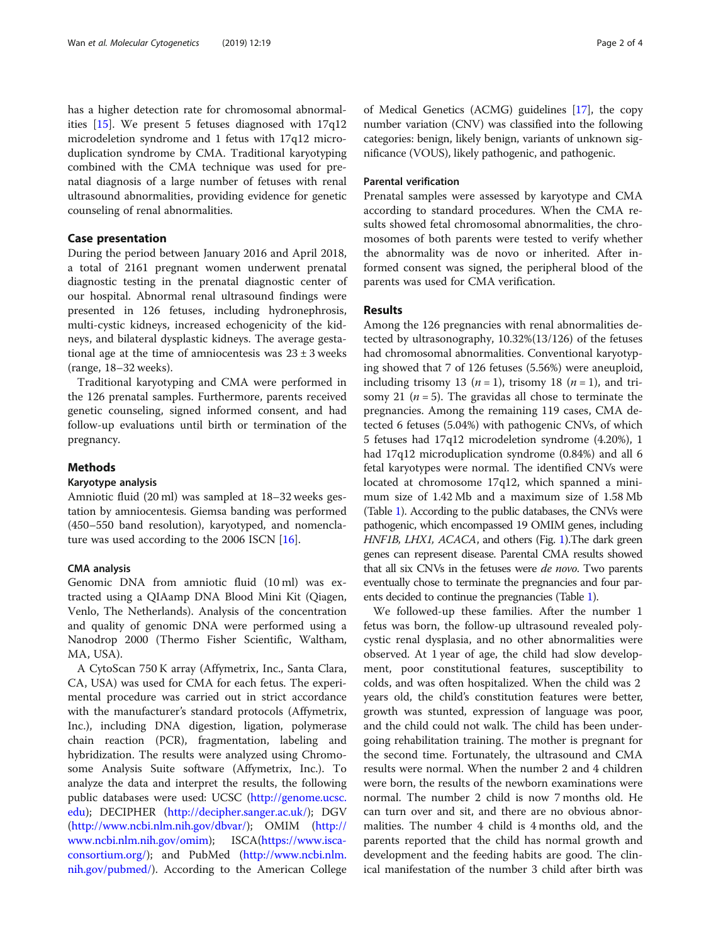has a higher detection rate for chromosomal abnormalities [\[15\]](#page-3-0). We present 5 fetuses diagnosed with 17q12 microdeletion syndrome and 1 fetus with 17q12 microduplication syndrome by CMA. Traditional karyotyping combined with the CMA technique was used for prenatal diagnosis of a large number of fetuses with renal ultrasound abnormalities, providing evidence for genetic counseling of renal abnormalities.

# Case presentation

During the period between January 2016 and April 2018, a total of 2161 pregnant women underwent prenatal diagnostic testing in the prenatal diagnostic center of our hospital. Abnormal renal ultrasound findings were presented in 126 fetuses, including hydronephrosis, multi-cystic kidneys, increased echogenicity of the kidneys, and bilateral dysplastic kidneys. The average gestational age at the time of amniocentesis was  $23 \pm 3$  weeks (range, 18–32 weeks).

Traditional karyotyping and CMA were performed in the 126 prenatal samples. Furthermore, parents received genetic counseling, signed informed consent, and had follow-up evaluations until birth or termination of the pregnancy.

## Methods

## Karyotype analysis

Amniotic fluid (20 ml) was sampled at 18–32 weeks gestation by amniocentesis. Giemsa banding was performed (450–550 band resolution), karyotyped, and nomencla-ture was used according to the 2006 ISCN [[16\]](#page-3-0).

# CMA analysis

Genomic DNA from amniotic fluid (10 ml) was extracted using a QIAamp DNA Blood Mini Kit (Qiagen, Venlo, The Netherlands). Analysis of the concentration and quality of genomic DNA were performed using a Nanodrop 2000 (Thermo Fisher Scientific, Waltham, MA, USA).

A CytoScan 750 K array (Affymetrix, Inc., Santa Clara, CA, USA) was used for CMA for each fetus. The experimental procedure was carried out in strict accordance with the manufacturer's standard protocols (Affymetrix, Inc.), including DNA digestion, ligation, polymerase chain reaction (PCR), fragmentation, labeling and hybridization. The results were analyzed using Chromosome Analysis Suite software (Affymetrix, Inc.). To analyze the data and interpret the results, the following public databases were used: UCSC ([http://genome.ucsc.](http://genome.ucsc.edu) [edu\)](http://genome.ucsc.edu); DECIPHER [\(http://decipher.sanger.ac.uk/](http://decipher.sanger.ac.uk/)); DGV ([http://www.ncbi.nlm.nih.gov/dbvar/\)](http://www.ncbi.nlm.nih.gov/dbvar/); OMIM [\(http://](http://www.ncbi.nlm.nih.gov/omim) [www.ncbi.nlm.nih.gov/omim\)](http://www.ncbi.nlm.nih.gov/omim); ISCA[\(https://www.isca](https://www.iscaconsortium.org/)[consortium.org/\)](https://www.iscaconsortium.org/); and PubMed ([http://www.ncbi.nlm.](http://www.ncbi.nlm.nih.gov/pubmed/) [nih.gov/pubmed/](http://www.ncbi.nlm.nih.gov/pubmed/)). According to the American College of Medical Genetics (ACMG) guidelines [\[17](#page-3-0)], the copy number variation (CNV) was classified into the following categories: benign, likely benign, variants of unknown significance (VOUS), likely pathogenic, and pathogenic.

## Parental verification

Prenatal samples were assessed by karyotype and CMA according to standard procedures. When the CMA results showed fetal chromosomal abnormalities, the chromosomes of both parents were tested to verify whether the abnormality was de novo or inherited. After informed consent was signed, the peripheral blood of the parents was used for CMA verification.

# Results

Among the 126 pregnancies with renal abnormalities detected by ultrasonography, 10.32%(13/126) of the fetuses had chromosomal abnormalities. Conventional karyotyping showed that 7 of 126 fetuses (5.56%) were aneuploid, including trisomy 13 ( $n = 1$ ), trisomy 18 ( $n = 1$ ), and trisomy 21 ( $n = 5$ ). The gravidas all chose to terminate the pregnancies. Among the remaining 119 cases, CMA detected 6 fetuses (5.04%) with pathogenic CNVs, of which 5 fetuses had 17q12 microdeletion syndrome (4.20%), 1 had 17q12 microduplication syndrome (0.84%) and all 6 fetal karyotypes were normal. The identified CNVs were located at chromosome 17q12, which spanned a minimum size of 1.42 Mb and a maximum size of 1.58 Mb (Table [1\)](#page-2-0). According to the public databases, the CNVs were pathogenic, which encompassed 19 OMIM genes, including HNF[1](#page-2-0)B, LHX1, ACACA, and others (Fig. 1). The dark green genes can represent disease. Parental CMA results showed that all six CNVs in the fetuses were *de novo*. Two parents eventually chose to terminate the pregnancies and four parents decided to continue the pregnancies (Table [1\)](#page-2-0).

We followed-up these families. After the number 1 fetus was born, the follow-up ultrasound revealed polycystic renal dysplasia, and no other abnormalities were observed. At 1 year of age, the child had slow development, poor constitutional features, susceptibility to colds, and was often hospitalized. When the child was 2 years old, the child's constitution features were better, growth was stunted, expression of language was poor, and the child could not walk. The child has been undergoing rehabilitation training. The mother is pregnant for the second time. Fortunately, the ultrasound and CMA results were normal. When the number 2 and 4 children were born, the results of the newborn examinations were normal. The number 2 child is now 7 months old. He can turn over and sit, and there are no obvious abnormalities. The number 4 child is 4 months old, and the parents reported that the child has normal growth and development and the feeding habits are good. The clinical manifestation of the number 3 child after birth was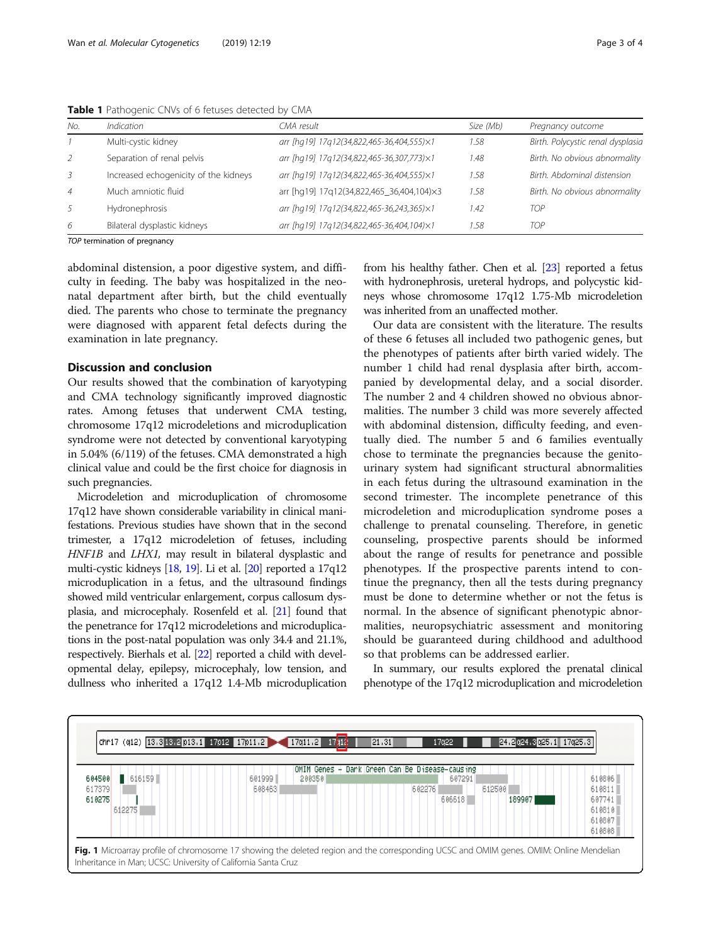| No.            | <i><u><b>Indication</b></u></i>       | CMA result                                | Size (Mb) | Pregnancy outcome                 |
|----------------|---------------------------------------|-------------------------------------------|-----------|-----------------------------------|
|                | Multi-cystic kidney                   | arr [hq19] 17q12(34,822,465-36,404,555)×1 | 1.58      | Birth. Polycystic renal dysplasia |
| 2              | Separation of renal pelvis            | arr [hq19] 17q12(34,822,465-36,307,773)×1 | 1.48      | Birth. No obvious abnormality     |
| -3             | Increased echogenicity of the kidneys | arr [hq19] 17q12(34,822,465-36,404,555)×1 | 1.58      | Birth, Abdominal distension       |
| $\overline{4}$ | Much amniotic fluid                   | arr [hg19] 17q12(34,822,465_36,404,104)×3 | 1.58      | Birth. No obvious abnormality     |
| -5             | Hydronephrosis                        | arr [hq19] 17q12(34,822,465-36,243,365)×1 | 1.42      | <b>TOP</b>                        |
| 6              | Bilateral dysplastic kidneys          | arr [hq19] 17q12(34,822,465-36,404,104)×1 | 1.58      | <b>TOP</b>                        |
|                |                                       |                                           |           |                                   |

<span id="page-2-0"></span>Table 1 Pathogenic CNVs of 6 fetuses detected by CMA

TOP termination of pregnancy

abdominal distension, a poor digestive system, and difficulty in feeding. The baby was hospitalized in the neonatal department after birth, but the child eventually died. The parents who chose to terminate the pregnancy were diagnosed with apparent fetal defects during the examination in late pregnancy.

# Discussion and conclusion

Our results showed that the combination of karyotyping and CMA technology significantly improved diagnostic rates. Among fetuses that underwent CMA testing, chromosome 17q12 microdeletions and microduplication syndrome were not detected by conventional karyotyping in 5.04% (6/119) of the fetuses. CMA demonstrated a high clinical value and could be the first choice for diagnosis in such pregnancies.

Microdeletion and microduplication of chromosome 17q12 have shown considerable variability in clinical manifestations. Previous studies have shown that in the second trimester, a 17q12 microdeletion of fetuses, including HNF1B and LHX1, may result in bilateral dysplastic and multi-cystic kidneys [[18](#page-3-0), [19](#page-3-0)]. Li et al. [[20](#page-3-0)] reported a 17q12 microduplication in a fetus, and the ultrasound findings showed mild ventricular enlargement, corpus callosum dysplasia, and microcephaly. Rosenfeld et al. [\[21\]](#page-3-0) found that the penetrance for 17q12 microdeletions and microduplications in the post-natal population was only 34.4 and 21.1%, respectively. Bierhals et al. [[22](#page-3-0)] reported a child with developmental delay, epilepsy, microcephaly, low tension, and dullness who inherited a 17q12 1.4-Mb microduplication from his healthy father. Chen et al. [\[23\]](#page-3-0) reported a fetus with hydronephrosis, ureteral hydrops, and polycystic kidneys whose chromosome 17q12 1.75-Mb microdeletion was inherited from an unaffected mother.

Our data are consistent with the literature. The results of these 6 fetuses all included two pathogenic genes, but the phenotypes of patients after birth varied widely. The number 1 child had renal dysplasia after birth, accompanied by developmental delay, and a social disorder. The number 2 and 4 children showed no obvious abnormalities. The number 3 child was more severely affected with abdominal distension, difficulty feeding, and eventually died. The number 5 and 6 families eventually chose to terminate the pregnancies because the genitourinary system had significant structural abnormalities in each fetus during the ultrasound examination in the second trimester. The incomplete penetrance of this microdeletion and microduplication syndrome poses a challenge to prenatal counseling. Therefore, in genetic counseling, prospective parents should be informed about the range of results for penetrance and possible phenotypes. If the prospective parents intend to continue the pregnancy, then all the tests during pregnancy must be done to determine whether or not the fetus is normal. In the absence of significant phenotypic abnormalities, neuropsychiatric assessment and monitoring should be guaranteed during childhood and adulthood so that problems can be addressed earlier.

In summary, our results explored the prenatal clinical phenotype of the 17q12 microduplication and microdeletion